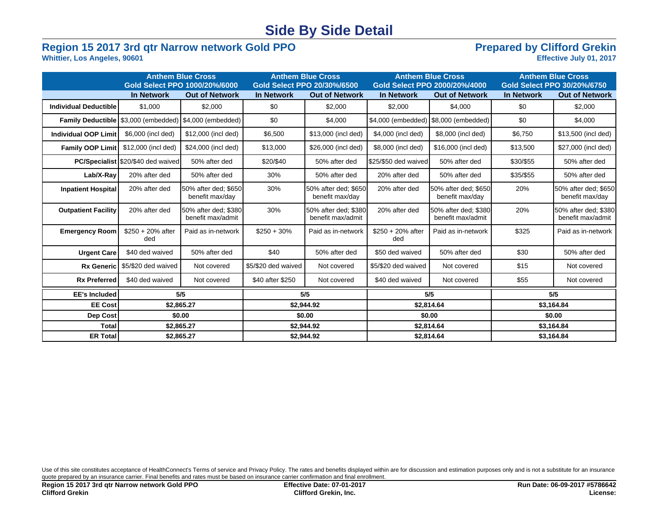## **Side By Side Detail**

# **Region 15 2017 3rd qtr Narrow network Gold PPO**<br>Whittier, Los Angeles, 90601<br>Effective July 01, 2017

### **Whittier, Los Angeles, 90601**

|                              | <b>Anthem Blue Cross</b><br>Gold Select PPO 1000/20%/6000 |                                                    | <b>Anthem Blue Cross</b><br>Gold Select PPO 20/30%/6500 |                                           |                            | <b>Anthem Blue Cross</b><br>Gold Select PPO 2000/20%/4000 | <b>Anthem Blue Cross</b><br>Gold Select PPO 30/20%/6750 |                                           |  |
|------------------------------|-----------------------------------------------------------|----------------------------------------------------|---------------------------------------------------------|-------------------------------------------|----------------------------|-----------------------------------------------------------|---------------------------------------------------------|-------------------------------------------|--|
|                              | <b>In Network</b>                                         | <b>Out of Network</b>                              | <b>In Network</b>                                       | <b>Out of Network</b>                     | <b>In Network</b>          | <b>Out of Network</b>                                     | <b>In Network</b>                                       | <b>Out of Network</b>                     |  |
| <b>Individual Deductible</b> | \$1,000                                                   | \$2,000                                            | \$0                                                     | \$2,000                                   | \$2,000                    | \$4,000                                                   | \$0                                                     | \$2,000                                   |  |
|                              | Family Deductible   \$3,000 (embedded)                    | \$4,000 (embedded)                                 | \$0                                                     | \$4,000                                   | \$4,000 (embedded)         | \$8,000 (embedded)                                        | \$0                                                     | \$4,000                                   |  |
| <b>Individual OOP Limit</b>  | \$6,000 (incl ded)                                        | \$12,000 (incl ded)                                | \$6,500                                                 | \$13,000 (incl ded)                       | \$4,000 (incl ded)         | \$8,000 (incl ded)                                        | \$6,750                                                 | \$13,500 (incl ded)                       |  |
| <b>Family OOP Limit</b>      | \$12,000 (incl ded)                                       | \$24,000 (incl ded)                                | \$13,000                                                | \$26,000 (incl ded)                       | \$8,000 (incl ded)         | \$16,000 (incl ded)                                       | \$13,500                                                | \$27,000 (incl ded)                       |  |
|                              | <b>PC/Specialist \\$20/\$40 ded waived</b>                | 50% after ded                                      | \$20/\$40                                               | 50% after ded                             | \$25/\$50 ded waived       | 50% after ded                                             | \$30/\$55                                               | 50% after ded                             |  |
| Lab/X-Ray                    | 20% after ded                                             | 50% after ded                                      | 30%                                                     | 50% after ded                             | 20% after ded              | 50% after ded                                             | \$35/\$55                                               | 50% after ded                             |  |
| <b>Inpatient Hospital</b>    | 20% after ded                                             | 150% after ded: \$650<br>benefit max/day           | 30%                                                     | 50% after ded: \$650<br>benefit max/day   | 20% after ded              | 50% after ded: \$650<br>benefit max/day                   | 20%                                                     | 50% after ded: \$650<br>benefit max/day   |  |
| <b>Outpatient Facility</b>   | 20% after ded                                             | <b>1</b> 50% after ded: \$380<br>benefit max/admit | 30%                                                     | 50% after ded; \$380<br>benefit max/admit | 20% after ded              | 50% after ded; \$380<br>benefit max/admit                 | 20%                                                     | 50% after ded; \$380<br>benefit max/admit |  |
| <b>Emergency Room</b>        | $$250 + 20\%$ after<br>ded                                | Paid as in-network                                 | $$250 + 30\%$                                           | Paid as in-network                        | $$250 + 20\%$ after<br>ded | Paid as in-network                                        | \$325                                                   | Paid as in-network                        |  |
| <b>Urgent Care</b>           | \$40 ded waived                                           | 50% after ded                                      | \$40                                                    | 50% after ded                             | \$50 ded waived            | 50% after ded                                             | \$30                                                    | 50% after ded                             |  |
| Rx Generic                   | \$5/\$20 ded waived                                       | Not covered                                        | \$5/\$20 ded waived                                     | Not covered                               | \$5/\$20 ded waived        | Not covered                                               | \$15                                                    | Not covered                               |  |
| <b>Rx Preferred</b>          | \$40 ded waived                                           | Not covered                                        | \$40 after \$250                                        | Not covered                               | \$40 ded waived            | Not covered                                               | \$55                                                    | Not covered                               |  |
| <b>EE's Included</b>         |                                                           | 5/5                                                |                                                         | 5/5                                       | 5/5                        |                                                           | 5/5                                                     |                                           |  |
| <b>EE Cost</b>               |                                                           | \$2,865.27                                         |                                                         | \$2,944.92                                |                            | \$2,814.64                                                |                                                         | \$3,164.84                                |  |
| Dep Cost                     |                                                           | \$0.00                                             |                                                         | \$0.00                                    | \$0.00                     |                                                           | \$0.00                                                  |                                           |  |
| <b>Total</b>                 |                                                           | \$2,865.27                                         |                                                         | \$2,944.92                                | \$2,814.64                 |                                                           | \$3,164.84                                              |                                           |  |
| <b>ER Total</b>              |                                                           | \$2,865.27                                         |                                                         | \$2,944.92                                | \$2,814.64                 |                                                           | \$3,164.84                                              |                                           |  |

Use of this site constitutes acceptance of HealthConnect's Terms of service and Privacy Policy. The rates and benefits displayed within are for discussion and estimation purposes only and is not a substitute for an insuran quote prepared by an insurance carrier. Final benefits and rates must be based on insurance carrier confirmation and final enrollment.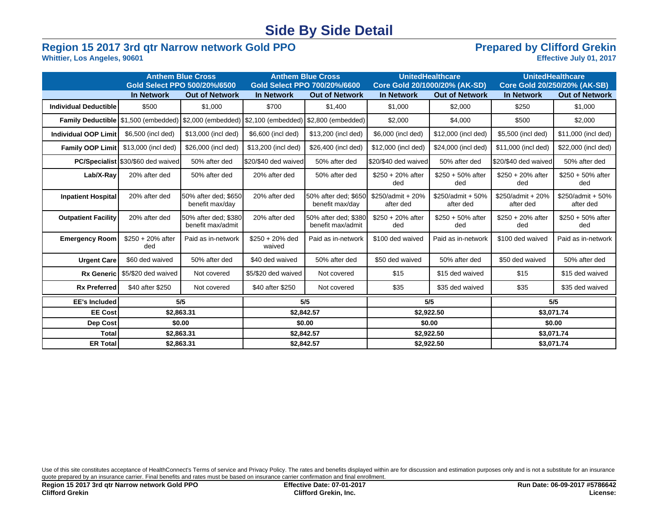## **Side By Side Detail**

# **Region 15 2017 3rd qtr Narrow network Gold PPO**<br>Whittier, Los Angeles, 90601<br>Effective July 01, 2017

**Whittier, Los Angeles, 90601** 

|                              | <b>Anthem Blue Cross</b><br>Gold Select PPO 500/20%/6500 |                                           | <b>Anthem Blue Cross</b><br>Gold Select PPO 700/20%/6600 |                                           | <b>UnitedHealthcare</b><br>Core Gold 20/1000/20% (AK-SD) |                                | <b>UnitedHealthcare</b><br>Core Gold 20/250/20% (AK-SB) |                                  |
|------------------------------|----------------------------------------------------------|-------------------------------------------|----------------------------------------------------------|-------------------------------------------|----------------------------------------------------------|--------------------------------|---------------------------------------------------------|----------------------------------|
|                              | <b>In Network</b>                                        | <b>Out of Network</b>                     | <b>In Network</b>                                        | <b>Out of Network</b>                     | <b>In Network</b>                                        | <b>Out of Network</b>          | <b>In Network</b>                                       | <b>Out of Network</b>            |
| <b>Individual Deductible</b> | \$500                                                    | \$1,000                                   | \$700                                                    | \$1,400                                   | \$1,000                                                  | \$2,000                        | \$250                                                   | \$1,000                          |
|                              | Family Deductible   \$1,500 (embedded)                   | \$2,000 (embedded)                        | \$2,100 (embedded)                                       | \$2,800 (embedded)                        | \$2,000                                                  | \$4,000                        | \$500                                                   | \$2,000                          |
| Individual OOP Limit         | \$6,500 (incl ded)                                       | \$13,000 (incl ded)                       | \$6,600 (incl ded)                                       | \$13,200 (incl ded)                       | \$6,000 (incl ded)                                       | \$12,000 (incl ded)            | \$5,500 (incl ded)                                      | \$11,000 (incl ded)              |
| <b>Family OOP Limit</b>      | \$13,000 (incl ded)                                      | \$26,000 (incl ded)                       | \$13,200 (incl ded)                                      | \$26,400 (incl ded)                       | \$12,000 (incl ded)                                      | \$24,000 (incl ded)            | \$11,000 (incl ded)                                     | \$22,000 (incl ded)              |
|                              | <b>PC/Specialist \\$30/\$60 ded waived</b>               | 50% after ded                             | S20/\$40 ded waived                                      | 50% after ded                             | \$20/\$40 ded waived                                     | 50% after ded                  | \$20/\$40 ded waived                                    | 50% after ded                    |
| Lab/X-Ray                    | 20% after ded                                            | 50% after ded                             | 20% after ded                                            | 50% after ded                             | $$250 + 20\%$ after<br>ded                               | $$250 + 50\%$ after<br>ded     | $$250 + 20\%$ after<br>ded                              | $$250 + 50\%$ after<br>ded       |
| <b>Inpatient Hospital</b>    | 20% after ded                                            | 50% after ded; \$650<br>benefit max/day   | 20% after ded                                            | 50% after ded; \$650<br>benefit max/day   | \$250/admit + 20%<br>after ded                           | \$250/admit + 50%<br>after ded | \$250/admit + 20%<br>after ded                          | $$250$ /admit + 50%<br>after ded |
| <b>Outpatient Facility</b>   | 20% after ded                                            | 50% after ded; \$380<br>benefit max/admit | 20% after ded                                            | 50% after ded; \$380<br>benefit max/admit | $$250 + 20\%$ after<br>ded                               | $$250 + 50\%$ after<br>ded     | $$250 + 20\%$ after<br>ded                              | $$250 + 50\%$ after<br>ded       |
| <b>Emergency Room</b>        | $$250 + 20\%$ after<br>ded                               | Paid as in-network                        | $$250 + 20\%$ ded<br>waived                              | Paid as in-network                        | \$100 ded waived                                         | Paid as in-network             | \$100 ded waived                                        | Paid as in-network               |
| <b>Urgent Care</b>           | \$60 ded waived                                          | 50% after ded                             | \$40 ded waived                                          | 50% after ded                             | \$50 ded waived                                          | 50% after ded                  | \$50 ded waived                                         | 50% after ded                    |
| <b>Rx Generic</b>            | \$5/\$20 ded waived                                      | Not covered                               | \$5/\$20 ded waived                                      | Not covered                               | \$15                                                     | \$15 ded waived                | \$15                                                    | \$15 ded waived                  |
| <b>Rx Preferred</b>          | \$40 after \$250                                         | Not covered                               | \$40 after \$250                                         | Not covered                               | \$35                                                     | \$35 ded waived                | \$35                                                    | \$35 ded waived                  |
| <b>EE's Included</b>         |                                                          | 5/5                                       |                                                          | 5/5                                       | 5/5                                                      |                                | 5/5                                                     |                                  |
| <b>EE Cost</b>               | \$2,863.31                                               |                                           | \$2,842.57                                               |                                           | \$2,922.50                                               |                                | \$3,071.74                                              |                                  |
| Dep Cost                     |                                                          | \$0.00                                    |                                                          | \$0.00                                    | \$0.00                                                   |                                | \$0.00                                                  |                                  |
| <b>Total</b>                 | \$2,863.31                                               |                                           | \$2,842.57                                               |                                           | \$2,922.50                                               |                                | \$3,071.74                                              |                                  |
| <b>ER Total</b>              | \$2,863.31                                               |                                           | \$2,842.57                                               |                                           | \$2,922.50                                               |                                | \$3,071.74                                              |                                  |

Use of this site constitutes acceptance of HealthConnect's Terms of service and Privacy Policy. The rates and benefits displayed within are for discussion and estimation purposes only and is not a substitute for an insuran quote prepared by an insurance carrier. Final benefits and rates must be based on insurance carrier confirmation and final enrollment.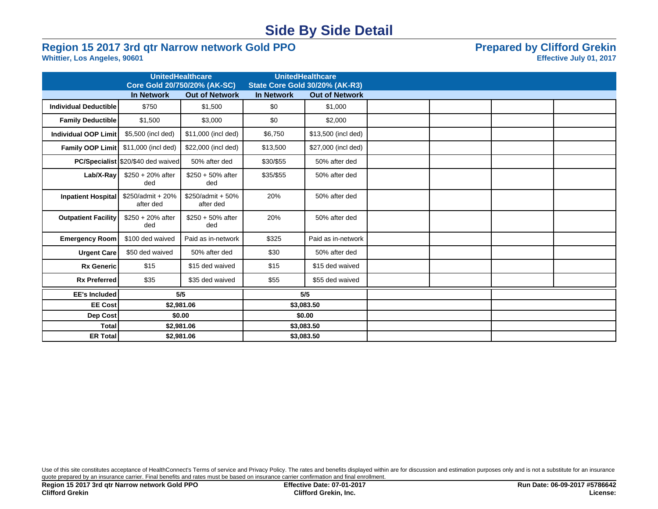## **Side By Side Detail**

# **Region 15 2017 3rd qtr Narrow network Gold PPO**<br>Whittier, Los Angeles, 90601<br>Effective July 01, 2017

### **Whittier, Los Angeles, 90601**

|                              | <b>UnitedHealthcare</b><br>Core Gold 20/750/20% (AK-SC) |                                  |                   | <b>UnitedHealthcare</b><br>State Core Gold 30/20% (AK-R3) |  |  |
|------------------------------|---------------------------------------------------------|----------------------------------|-------------------|-----------------------------------------------------------|--|--|
|                              | <b>In Network</b>                                       | <b>Out of Network</b>            | <b>In Network</b> | <b>Out of Network</b>                                     |  |  |
|                              |                                                         |                                  |                   |                                                           |  |  |
| <b>Individual Deductible</b> | \$750                                                   | \$1,500                          | \$0               | \$1,000                                                   |  |  |
| <b>Family Deductible</b>     | \$1,500                                                 | \$3,000                          | \$0               | \$2,000                                                   |  |  |
| Individual OOP Limit         | \$5,500 (incl ded)                                      | \$11,000 (incl ded)              | \$6,750           | \$13,500 (incl ded)                                       |  |  |
| Family OOP Limit             | \$11,000 (incl ded)                                     | \$22,000 (incl ded)              | \$13,500          | \$27,000 (incl ded)                                       |  |  |
|                              | <b>PC/Specialist</b> \$20/\$40 ded waived               | 50% after ded                    | \$30/\$55         | 50% after ded                                             |  |  |
| Lab/X-Ray                    | $$250 + 20\%$ after<br>ded                              | $$250 + 50\%$ after<br>ded       | \$35/\$55         | 50% after ded                                             |  |  |
| Inpatient Hospital           | \$250/admit + 20%<br>after ded                          | $$250$ /admit + 50%<br>after ded | 20%               | 50% after ded                                             |  |  |
| <b>Outpatient Facility</b>   | $$250 + 20\%$ after<br>ded                              | $$250 + 50\%$ after<br>ded       | 20%               | 50% after ded                                             |  |  |
| <b>Emergency Room</b>        | \$100 ded waived                                        | Paid as in-network               | \$325             | Paid as in-network                                        |  |  |
| <b>Urgent Care</b>           | \$50 ded waived                                         | 50% after ded                    | \$30              | 50% after ded                                             |  |  |
| <b>Rx Generic</b>            | \$15                                                    | \$15 ded waived                  | \$15              | \$15 ded waived                                           |  |  |
| <b>Rx Preferred</b>          | \$35                                                    | \$35 ded waived                  | \$55              | \$55 ded waived                                           |  |  |
| <b>EE's Included</b>         |                                                         | 5/5                              |                   | 5/5                                                       |  |  |
| <b>EE Cost</b>               |                                                         | \$2,981.06                       |                   | \$3,083.50                                                |  |  |
| Dep Cost                     | \$0.00                                                  |                                  |                   | \$0.00                                                    |  |  |
| <b>Total</b>                 |                                                         | \$2,981.06                       |                   | \$3,083.50                                                |  |  |
| <b>ER Total</b>              |                                                         | \$2,981.06                       |                   | \$3,083.50                                                |  |  |
|                              |                                                         |                                  |                   |                                                           |  |  |

Use of this site constitutes acceptance of HealthConnect's Terms of service and Privacy Policy. The rates and benefits displayed within are for discussion and estimation purposes only and is not a substitute for an insuran quote prepared by an insurance carrier. Final benefits and rates must be based on insurance carrier confirmation and final enrollment.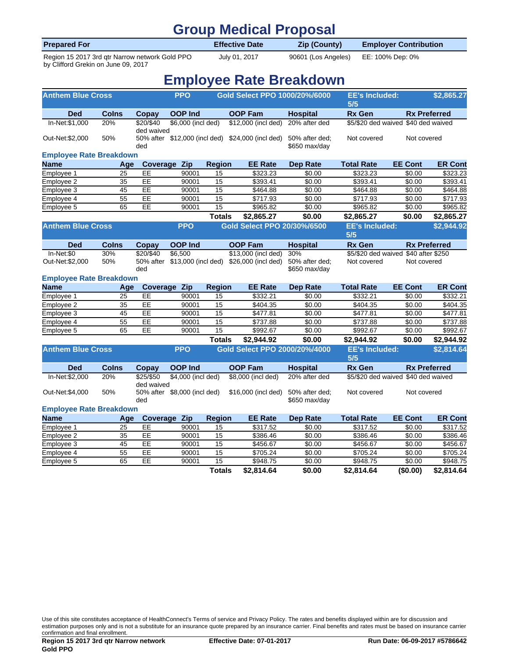### **Group Medical Proposal**

| <b>Prepared For</b>                            | <b>Effective Date</b> | Zip (County)        | <b>Employer Contribution</b> |  |
|------------------------------------------------|-----------------------|---------------------|------------------------------|--|
| Region 15 2017 3rd gtr Narrow network Gold PPO | July 01, 2017         | 90601 (Los Angeles) | EE: 100% Dep: 0%             |  |

by Clifford Grekin on June 09, 2017

## **Employee Rate Breakdown**

| <b>Anthem Blue Cross</b>       |                 |                         | <b>PPO</b>                   |                 | Gold Select PPO 1000/20%/6000                     |                                 | <b>EE's Included:</b><br>5/5         |                | \$2,865.27          |
|--------------------------------|-----------------|-------------------------|------------------------------|-----------------|---------------------------------------------------|---------------------------------|--------------------------------------|----------------|---------------------|
| <b>Ded</b>                     | <b>Colns</b>    | Copay                   | <b>OOP Ind</b>               |                 | <b>OOP Fam</b>                                    | <b>Hospital</b>                 | <b>Rx Gen</b>                        |                | <b>Rx Preferred</b> |
| In-Net:\$1,000                 | 20%             | \$20/\$40<br>ded waived | \$6,000 (incl ded)           |                 | \$12,000 (incl ded)                               | 20% after ded                   | \$5/\$20 ded waived \$40 ded waived  |                |                     |
| Out-Net:\$2,000                | 50%             | ded                     |                              |                 | 50% after \$12,000 (incl ded) \$24,000 (incl ded) | 50% after ded;<br>\$650 max/day | Not covered                          | Not covered    |                     |
| <b>Employee Rate Breakdown</b> |                 |                         |                              |                 |                                                   |                                 |                                      |                |                     |
| <b>Name</b>                    | Age             | Coverage                | Zip                          | <b>Region</b>   | <b>EE Rate</b>                                    | <b>Dep Rate</b>                 | <b>Total Rate</b>                    | <b>EE Cont</b> | <b>ER Cont</b>      |
| Employee 1                     | 25              | EE                      | 90001                        | 15              | \$323.23                                          | \$0.00                          | \$323.23                             | \$0.00         | \$323.23            |
| Employee 2                     | 35              | EE                      | 90001                        | 15              | \$393.41                                          | \$0.00                          | \$393.41                             | \$0.00         | \$393.41            |
| Employee 3                     | 45              | EE                      | 90001                        | 15              | \$464.88                                          | \$0.00                          | \$464.88                             | \$0.00         | \$464.88            |
| Employee 4                     | 55              | EE                      | 90001                        | $\overline{15}$ | \$717.93                                          | \$0.00                          | \$717.93                             | \$0.00         | \$717.93            |
| Employee 5                     | 65              | EE                      | 90001                        | 15              | \$965.82                                          | \$0.00                          | \$965.82                             | \$0.00         | \$965.82            |
|                                |                 |                         |                              | <b>Totals</b>   | \$2,865.27                                        | \$0.00                          | \$2,865.27                           | \$0.00         | \$2,865.27          |
| <b>Anthem Blue Cross</b>       |                 |                         | <b>PPO</b>                   |                 | Gold Select PPO 20/30%/6500                       |                                 | <b>EE's Included:</b>                |                | \$2,944.92          |
|                                |                 |                         |                              |                 |                                                   |                                 | 5/5                                  |                |                     |
| <b>Ded</b>                     | <b>Colns</b>    | Copay                   | <b>OOP Ind</b>               |                 | <b>OOP Fam</b>                                    | <b>Hospital</b>                 | <b>Rx Gen</b>                        |                | <b>Rx Preferred</b> |
| In-Net:\$0                     | 30%             | \$20/\$40               | \$6,500                      |                 | \$13,000 (incl ded)                               | 30%                             | \$5/\$20 ded waived \$40 after \$250 |                |                     |
| Out-Net:\$2,000                | 50%             | ded                     |                              |                 | 50% after \$13,000 (incl ded) \$26,000 (incl ded) | 50% after ded;<br>\$650 max/day | Not covered<br>Not covered           |                |                     |
| <b>Employee Rate Breakdown</b> |                 |                         |                              |                 |                                                   |                                 |                                      |                |                     |
| <b>Name</b>                    | Age             | Coverage                | Zip                          | <b>Region</b>   | <b>EE Rate</b>                                    | <b>Dep Rate</b>                 | <b>Total Rate</b>                    | <b>EE Cont</b> | <b>ER Cont</b>      |
| Employee 1                     | 25              | EE                      | 90001                        | 15              | \$332.21                                          | \$0.00                          | \$332.21                             | \$0.00         | 3332.21             |
| Employee 2                     | 35              | EE                      | 90001                        | 15              | \$404.35                                          | \$0.00                          | \$404.35                             | \$0.00         | \$404.35            |
| Employee 3                     | 45              | EE                      | 90001                        | 15              | \$477.81                                          | \$0.00                          | \$477.81                             | \$0.00         | \$477.81            |
| Employee 4                     | 55              | EE                      | 90001                        | $\overline{15}$ | \$737.88                                          | \$0.00                          | \$737.88                             | \$0.00         | \$737.88            |
| Employee 5                     | 65              | EE                      | 90001                        | 15              | \$992.67                                          | \$0.00                          | \$992.67                             | \$0.00         | \$992.67            |
|                                |                 |                         |                              | <b>Totals</b>   | \$2,944.92                                        | \$0.00                          | \$2,944.92                           | \$0.00         | \$2,944.92          |
| <b>Anthem Blue Cross</b>       |                 |                         | <b>PPO</b>                   |                 | Gold Select PPO 2000/20%/4000                     |                                 | <b>EE's Included:</b><br>5/5         |                | \$2,814.64          |
| <b>Ded</b>                     | <b>Colns</b>    | <b>Copay</b>            | <b>OOP Ind</b>               |                 | <b>OOP Fam</b>                                    | <b>Hospital</b>                 | <b>Rx Gen</b>                        |                | <b>Rx Preferred</b> |
| In-Net:\$2,000                 | 20%             | \$25/\$50               | \$4,000 (incl ded)           |                 | \$8,000 (incl ded)                                | 20% after ded                   | \$5/\$20 ded waived \$40 ded waived  |                |                     |
| Out-Net:\$4,000                | 50%             | ded waived<br>ded       | 50% after \$8,000 (incl ded) |                 | \$16,000 (incl ded)                               | 50% after ded;<br>\$650 max/day | Not covered                          | Not covered    |                     |
| <b>Employee Rate Breakdown</b> |                 |                         |                              |                 |                                                   |                                 |                                      |                |                     |
| <b>Name</b>                    | Age             |                         | Coverage Zip                 | <b>Region</b>   | <b>EE Rate</b>                                    | <b>Dep Rate</b>                 | <b>Total Rate</b>                    | <b>EE Cont</b> | <b>ER Cont</b>      |
| Employee 1                     | 25              | EE                      | 90001                        | 15              | \$317.52                                          | 30.00                           | \$317.52                             | \$0.00         | \$317.52            |
| Employee 2                     | 35              | EE                      | 90001                        | 15              | \$386.46                                          | \$0.00                          | \$386.46                             | \$0.00         | \$386.46            |
| Employee 3                     | 45              | EE                      | 90001                        | 15              | \$456.67                                          | \$0.00                          | \$456.67                             | \$0.00         | \$456.67            |
| Employee 4                     | $\overline{55}$ | EE                      | 90001                        | 15              | \$705.24                                          | \$0.00                          | \$705.24                             | \$0.00         | \$705.24            |
| Employee 5                     | 65              | EE                      | 90001                        | 15              | \$948.75                                          | \$0.00                          | \$948.75                             | \$0.00         | \$948.75            |
|                                |                 |                         |                              | <b>Totals</b>   | \$2,814.64                                        | \$0.00                          | \$2,814.64                           | (\$0.00)       | \$2,814.64          |

Use of this site constitutes acceptance of HealthConnect's Terms of service and Privacy Policy. The rates and benefits displayed within are for discussion and estimation purposes only and is not a substitute for an insurance quote prepared by an insurance carrier. Final benefits and rates must be based on insurance carrier. Simal bonefits and rates must be based on insurance car confirmation and final enrollment.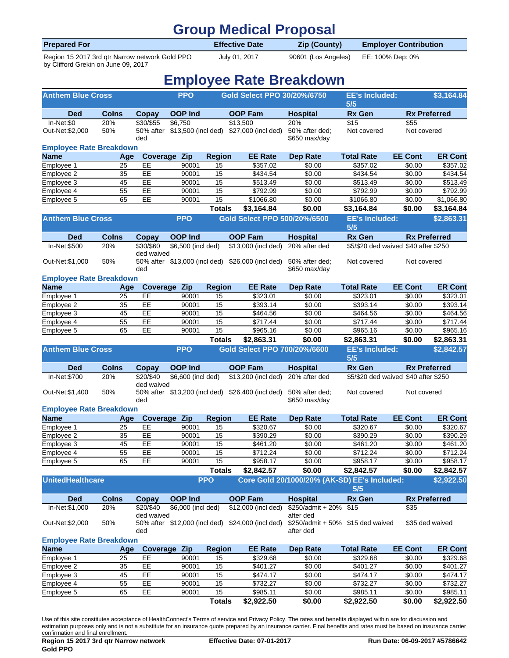### **Group Medical Proposal**

| <b>Prepared For</b>                            | <b>Effective Date</b> | Zip (County)        | <b>Employer Contribution</b> |  |
|------------------------------------------------|-----------------------|---------------------|------------------------------|--|
| Region 15 2017 3rd gtr Narrow network Gold PPO | July 01, 2017         | 90601 (Los Angeles) | EE: 100% Dep: 0%             |  |

by Clifford Grekin on June 09, 2017

## **Employee Rate Breakdown**

| <b>Anthem Blue Cross</b>       |              |                         | <b>PPO</b>         |                       | Gold Select PPO 30/20%/6750                                   |                                        | <b>EE's Included:</b><br>5/5                        |                     | \$3,164.84           |
|--------------------------------|--------------|-------------------------|--------------------|-----------------------|---------------------------------------------------------------|----------------------------------------|-----------------------------------------------------|---------------------|----------------------|
| <b>Ded</b>                     | <b>Colns</b> | Copay                   | <b>OOP Ind</b>     |                       | <b>OOP Fam</b>                                                | <b>Hospital</b>                        | <b>Rx Gen</b>                                       |                     | <b>Rx Preferred</b>  |
| In-Net:\$0<br>Out-Net:\$2,000  | 20%<br>50%   | \$30/\$55<br>ded        | \$6,750            |                       | \$13,500<br>50% after \$13,500 (incl ded) \$27,000 (incl ded) | 20%<br>50% after ded;<br>\$650 max/day | \$15<br>Not covered                                 | \$55<br>Not covered |                      |
| <b>Employee Rate Breakdown</b> |              |                         |                    |                       |                                                               |                                        |                                                     |                     |                      |
| <b>Name</b>                    | Age          |                         | Coverage Zip       | <b>Region</b>         | <b>EE Rate</b>                                                | <b>Dep Rate</b>                        | <b>Total Rate</b>                                   | <b>EE Cont</b>      | <b>ER Cont</b>       |
| Employee 1                     | 25           | EE                      | 90001              | 15                    | \$357.02                                                      | \$0.00                                 | \$357.02                                            | \$0.00              | \$357.02             |
| Employee 2                     | 35           | EE                      | 90001              | 15                    | \$434.54                                                      | \$0.00                                 | \$434.54                                            | \$0.00              | \$434.54             |
| Employee 3                     | 45           | EE                      | 90001              | 15                    | \$513.49                                                      | \$0.00                                 | \$513.49                                            | \$0.00              | \$513.49             |
| Employee 4                     | 55           | EE                      | 90001              | 15                    | \$792.99                                                      | \$0.00                                 | \$792.99                                            | \$0.00              | \$792.99             |
| Employee 5                     | 65           | EE                      | 90001              | 15                    | \$1066.80                                                     | \$0.00                                 | \$1066.80                                           | \$0.00              | \$1,066.80           |
|                                |              |                         |                    | <b>Totals</b>         | \$3,164.84                                                    | \$0.00                                 | \$3,164.84                                          | \$0.00              | \$3,164.84           |
| <b>Anthem Blue Cross</b>       |              |                         | <b>PPO</b>         |                       | Gold Select PPO 500/20%/6500                                  |                                        | <b>EE's Included:</b><br>5/5                        |                     | \$2,863.31           |
| <b>Ded</b>                     | <b>Colns</b> | Copay                   | <b>OOP Ind</b>     |                       | <b>OOP Fam</b>                                                | <b>Hospital</b>                        | <b>Rx Gen</b>                                       |                     | <b>Rx Preferred</b>  |
| In-Net:\$500                   | 20%          | \$30/\$60               | \$6,500 (incl ded) |                       | \$13,000 (incl ded)                                           | 20% after ded                          | \$5/\$20 ded waived \$40 after \$250                |                     |                      |
| Out-Net:\$1,000                | 50%          | ded waived<br>ded       |                    |                       | 50% after \$13,000 (incl ded) \$26,000 (incl ded)             | 50% after ded:<br>\$650 max/day        | Not covered                                         | Not covered         |                      |
| <b>Employee Rate Breakdown</b> |              |                         |                    |                       |                                                               |                                        |                                                     |                     |                      |
| <b>Name</b>                    | Age          |                         | Coverage Zip       | <b>Region</b>         | <b>EE Rate</b>                                                | <b>Dep Rate</b>                        | <b>Total Rate</b>                                   | <b>EE Cont</b>      | <b>ER Cont</b>       |
| Employee 1                     | 25           | EE                      | 90001              | 15                    | \$323.01                                                      | \$0.00                                 | \$323.01                                            | \$0.00              | \$323.01             |
| Employee 2                     | 35           | EE                      | 90001              | 15                    | \$393.14                                                      | \$0.00                                 | \$393.14                                            | $\frac{1}{00}0.00$  | \$393.14             |
| Employee 3                     | 45           | EE                      | 90001              | 15                    | \$464.56                                                      | \$0.00                                 | \$464.56                                            | \$0.00              | \$464.56             |
| Employee 4                     | 55           | EE                      | 90001              | $\overline{15}$       | \$717.44                                                      | \$0.00                                 | \$717.44                                            | $\overline{$}0.00$  | $\overline{$}717.44$ |
| Employee 5                     | 65           | EE                      | 90001              | 15                    | \$965.16                                                      | \$0.00                                 | \$965.16                                            | \$0.00              | \$965.16             |
|                                |              |                         |                    | <b>Totals</b>         | \$2,863.31                                                    | \$0.00                                 | \$2,863.31                                          | \$0.00              | \$2,863.31           |
| <b>Anthem Blue Cross</b>       |              |                         | <b>PPO</b>         |                       | Gold Select PPO 700/20%/6600                                  |                                        | <b>EE's Included:</b><br>5/5                        |                     | \$2,842.57           |
| <b>Ded</b>                     | <b>Colns</b> | Copay                   | <b>OOP Ind</b>     |                       | <b>OOP Fam</b>                                                | <b>Hospital</b>                        | <b>Rx Gen</b>                                       |                     | <b>Rx Preferred</b>  |
| In-Net:\$700                   | 20%          | \$20/\$40<br>ded waived | \$6,600 (incl ded) |                       | $$13,200$ (incl ded)                                          | 20% after ded                          | \$5/\$20 ded waived \$40 after \$250                |                     |                      |
| Out-Net:\$1,400                | 50%          | ded                     |                    |                       | 50% after \$13,200 (incl ded) \$26,400 (incl ded)             | 50% after ded;<br>\$650 max/day        | Not covered                                         | Not covered         |                      |
| <b>Employee Rate Breakdown</b> |              |                         |                    |                       |                                                               |                                        |                                                     |                     |                      |
| <b>Name</b>                    | Age          |                         | Coverage Zip       | <b>Region</b>         | <b>EE Rate</b>                                                | <b>Dep Rate</b>                        | <b>Total Rate</b>                                   | <b>EE Cont</b>      | <b>ER Cont</b>       |
| Employee 1<br>Employee 2       | 25<br>35     | EE<br>EE                | 90001<br>90001     | 15<br>15              | \$320.67<br>\$390.29                                          | \$0.00<br>\$0.00                       | \$320.67<br>\$390.29                                | \$0.00<br>\$0.00    | \$320.67<br>\$390.29 |
| Employee 3                     |              |                         |                    |                       |                                                               |                                        | \$461.20                                            | \$0.00              |                      |
| Employee 4                     | 45<br>55     | EE<br>EE                | 90001<br>90001     | 15<br>$\overline{15}$ | \$461.20<br>\$712.24                                          | \$0.00<br>\$0.00                       | \$712.24                                            | \$0.00              | \$461.20<br>\$712.24 |
| Employee 5                     | 65           | EE                      | 90001              | 15                    | \$958.17                                                      | \$0.00                                 | \$958.17                                            | \$0.00              | \$958.17             |
|                                |              |                         |                    | <b>Totals</b>         | \$2,842.57                                                    | \$0.00                                 | \$2,842.57                                          | \$0.00              | \$2,842.57           |
|                                |              |                         |                    |                       |                                                               |                                        |                                                     |                     |                      |
| <b>UnitedHealthcare</b>        |              |                         |                    | <b>PPO</b>            |                                                               |                                        | Core Gold 20/1000/20% (AK-SD) EE's Included:<br>5/5 |                     | \$2,922.50           |
| <b>Ded</b>                     | <b>Colns</b> | Copay                   | <b>OOP Ind</b>     |                       | <b>OOP Fam</b>                                                | <b>Hospital</b>                        | <b>Rx Gen</b>                                       |                     | <b>Rx Preferred</b>  |
| In-Net:\$1,000                 | 20%          | \$20/\$40<br>ded waived | \$6,000 (incl ded) |                       | \$12,000 (incl ded)                                           | \$250/admit + 20%<br>after ded         | \$15                                                | \$35                |                      |
| Out-Net:\$2,000                | 50%          | ded                     |                    |                       | 50% after \$12,000 (incl ded) \$24,000 (incl ded)             | after ded                              | \$250/admit + 50% \$15 ded waived                   |                     | \$35 ded waived      |
| <b>Employee Rate Breakdown</b> |              |                         |                    |                       |                                                               |                                        |                                                     |                     |                      |
| <b>Name</b>                    | Age          |                         | Coverage Zip       | <b>Region</b>         | <b>EE Rate</b>                                                | <b>Dep Rate</b>                        | <b>Total Rate</b>                                   | <b>EE Cont</b>      | <b>ER Cont</b>       |
| Employee 1                     | 25           | EE                      | 90001              | 15                    | \$329.68                                                      | \$0.00                                 | \$329.68                                            | \$0.00              | \$329.68             |
| Employee 2                     | 35           | EE                      | 90001              | 15                    | \$401.27                                                      | \$0.00                                 | \$401.27                                            | \$0.00              | \$401.27             |
| Employee 3                     | 45           | EE                      | 90001              | 15                    | \$474.17                                                      | \$0.00                                 | \$474.17                                            | \$0.00              | \$474.17             |
| Employee 4                     | 55           | EE                      | 90001              | 15                    | \$732.27                                                      | \$0.00                                 | \$732.27                                            | \$0.00              | \$732.27             |
| Employee 5                     | 65           | EE                      | 90001              | 15                    | \$985.11                                                      | \$0.00                                 | \$985.11                                            | \$0.00              | \$985.11             |

**Totals \$2,922.50 \$0.00 \$2,922.50 \$0.00 \$2,922.50**

Use of this site constitutes acceptance of HealthConnect's Terms of service and Privacy Policy. The rates and benefits displayed within are for discussion and estimation purposes only and is not a substitute for an insurance quote prepared by an insurance carrier. Final benefits and rates must be based on insurance carrier confirmation and final enrollment.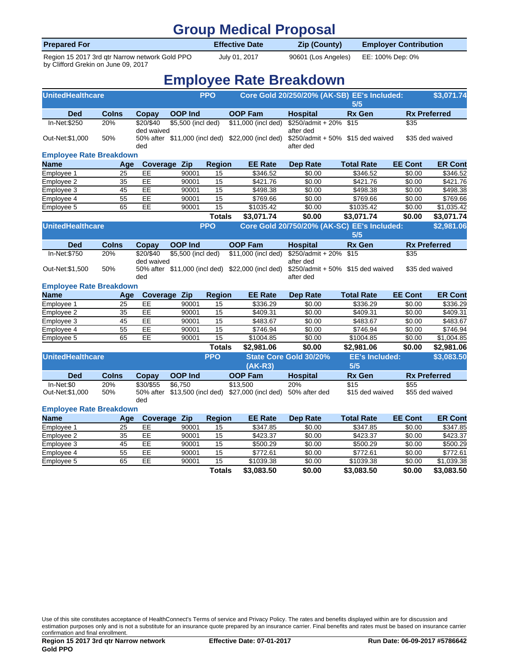### **Group Medical Proposal**

| <b>Prepared For</b>                            | <b>Effective Date</b> | <b>Zip (County)</b>                     | <b>Employer Contribution</b> |  |
|------------------------------------------------|-----------------------|-----------------------------------------|------------------------------|--|
| Region 15 2017 3rd gtr Narrow network Gold PPO | July 01, 2017         | 90601 (Los Angeles)    EE: 100% Dep: 0% |                              |  |

by Clifford Grekin on June 09, 2017

## **Employee Rate Breakdown**

| <b>UnitedHealthcare</b><br><b>PPO</b><br>Core Gold 20/250/20% (AK-SB) EE's Included: |              |                         |                    | 5/5             |                                                                 | \$3,071.74                                     |                                      |                    |                      |
|--------------------------------------------------------------------------------------|--------------|-------------------------|--------------------|-----------------|-----------------------------------------------------------------|------------------------------------------------|--------------------------------------|--------------------|----------------------|
| <b>Ded</b>                                                                           | <b>Colns</b> | Copay                   | <b>OOP Ind</b>     |                 | <b>OOP Fam</b>                                                  | <b>Hospital</b>                                | <b>Rx Gen</b>                        |                    | <b>Rx Preferred</b>  |
| In-Net:\$250                                                                         | 20%          | \$20/\$40<br>ded waived | \$5,500 (incl ded) |                 | \$11,000 (incl ded)                                             | \$250/admit + 20%<br>after ded                 | \$15                                 | \$35               |                      |
| Out-Net:\$1,000                                                                      | 50%          | ded                     |                    |                 | 50% after \$11,000 (incl ded) \$22,000 (incl ded)               | \$250/admit + 50% \$15 ded waived<br>after ded |                                      |                    | \$35 ded waived      |
| <b>Employee Rate Breakdown</b>                                                       |              |                         |                    |                 |                                                                 |                                                |                                      |                    |                      |
| <b>Name</b>                                                                          | Age          | Coverage                | Zip                | <b>Region</b>   | <b>EE Rate</b>                                                  | <b>Dep Rate</b>                                | <b>Total Rate</b>                    | <b>EE Cont</b>     | <b>ER Cont</b>       |
| Employee 1                                                                           | 25           | EE                      | 90001              | 15              | \$346.52                                                        | \$0.00                                         | \$346.52                             | \$0.00             | \$346.52             |
| Employee 2                                                                           | 35           | EE                      | 90001              | 15              | \$421.76                                                        | \$0.00                                         | \$421.76                             | \$0.00             | \$421.76             |
| Employee 3                                                                           | 45           | EE                      | 90001              | 15              | \$498.38                                                        | \$0.00                                         | \$498.38                             | \$0.00             | \$498.38             |
| Employee 4                                                                           | 55           | EE                      | 90001              | 15              | \$769.66                                                        | \$0.00                                         | \$769.66                             | \$0.00             | \$769.66             |
| Employee 5                                                                           | 65           | EE                      | 90001              | 15              | \$1035.42                                                       | \$0.00                                         | \$1035.42                            | \$0.00             | \$1,035.42           |
|                                                                                      |              |                         |                    | <b>Totals</b>   | \$3,071.74                                                      | \$0.00                                         | \$3,071.74                           | \$0.00             | \$3,071.74           |
| <b>UnitedHealthcare</b>                                                              |              |                         |                    | <b>PPO</b>      |                                                                 | Core Gold 20/750/20% (AK-SC) EE's Included:    | 5/5                                  |                    | \$2,981.06           |
| <b>Ded</b>                                                                           | <b>Colns</b> | Copay                   | <b>OOP Ind</b>     |                 | <b>OOP Fam</b>                                                  | <b>Hospital</b>                                | <b>Rx Gen</b>                        |                    | <b>Rx Preferred</b>  |
| In-Net: \$750                                                                        | 20%          | \$20/\$40<br>ded waived | \$5,500 (incl ded) |                 | \$11,000 (incl ded)                                             | \$250/admit + 20%<br>after ded                 | \$15                                 | \$35               |                      |
| Out-Net:\$1,500                                                                      | 50%          | ded                     |                    |                 | 50% after \$11,000 (incl ded) \$22,000 (incl ded)               | after ded                                      | $$250$ /admit + 50% $$15$ ded waived |                    | \$35 ded waived      |
| <b>Employee Rate Breakdown</b>                                                       |              |                         |                    |                 |                                                                 |                                                |                                      |                    |                      |
| <b>Name</b>                                                                          | Age          | Coverage Zip            |                    | <b>Region</b>   | <b>EE Rate</b>                                                  | <b>Dep Rate</b>                                | <b>Total Rate</b>                    | <b>EE Cont</b>     | <b>ER Cont</b>       |
| Employee 1                                                                           | 25           | EE                      | 90001              | 15              | \$336.29                                                        | \$0.00                                         | \$336.29                             | \$0.00             | \$336.29             |
| Employee 2                                                                           | 35           | EE                      | 90001              | 15              | \$409.31                                                        | \$0.00                                         | \$409.31                             | \$0.00             | $\overline{$409.31}$ |
| Employee 3                                                                           | 45           | EE                      | 90001              | 15              | \$483.67                                                        | \$0.00                                         | \$483.67                             | \$0.00             | \$483.67             |
| Employee 4                                                                           | 55           | EE                      | 90001              | $\overline{15}$ | \$746.94                                                        | \$0.00                                         | \$746.94                             | \$0.00             | \$746.94             |
| Employee 5                                                                           | 65           | EE                      | 90001              | 15              | \$1004.85                                                       | \$0.00                                         | \$1004.85                            | $\overline{$}0.00$ | \$1,004.85           |
|                                                                                      |              |                         |                    | <b>Totals</b>   | \$2,981.06                                                      | \$0.00                                         | \$2,981.06                           | \$0.00             | \$2,981.06           |
| <b>UnitedHealthcare</b>                                                              |              |                         |                    | <b>PPO</b>      | $(AK-R3)$                                                       | State Core Gold 30/20%                         | <b>EE's Included:</b><br>5/5         |                    | \$3,083.50           |
| <b>Ded</b>                                                                           | <b>Colns</b> | <b>Copay</b>            | <b>OOP Ind</b>     |                 | <b>OOP Fam</b>                                                  | <b>Hospital</b>                                | <b>Rx Gen</b>                        |                    | <b>Rx Preferred</b>  |
| In-Net:\$0                                                                           | 20%          | \$30/\$55               | \$6.750            |                 | \$13,500                                                        | 20%                                            | \$15                                 | \$55               |                      |
| Out-Net:\$1,000                                                                      | 50%          | ded                     |                    |                 | 50% after \$13,500 (incl ded) \$27,000 (incl ded) 50% after ded |                                                | \$15 ded waived                      |                    | \$55 ded waived      |
| <b>Employee Rate Breakdown</b>                                                       |              |                         |                    |                 |                                                                 |                                                |                                      |                    |                      |
| <b>Name</b>                                                                          | Age          | Coverage Zip            |                    | <b>Region</b>   | <b>EE Rate</b>                                                  | <b>Dep Rate</b>                                | <b>Total Rate</b>                    | <b>EE Cont</b>     | <b>ER Cont</b>       |
| Employee 1                                                                           | 25           | EE                      | 90001              | 15              | 3347.85                                                         | \$0.00                                         | \$347.85                             | \$0.00             | \$347.85             |
| Employee 2                                                                           | 35           | EE                      | 90001              | 15              | \$423.37                                                        | \$0.00                                         | \$423.37                             | \$0.00             | \$423.37             |
| Employee 3                                                                           | 45           | EE                      | 90001              | 15              | \$500.29                                                        | \$0.00                                         | \$500.29                             | \$0.00             | \$500.29             |
| Employee 4                                                                           | 55           | EE                      | 90001              | 15              | \$772.61                                                        | \$0.00                                         | \$772.61                             | \$0.00             | \$772.61             |
| Employee 5                                                                           | 65           | EE                      | 90001              | 15              | \$1039.38                                                       | \$0.00                                         | \$1039.38                            | \$0.00             | \$1,039.38           |
|                                                                                      |              |                         |                    | <b>Totals</b>   | \$3,083.50                                                      | \$0.00                                         | \$3,083.50                           | \$0.00             | \$3,083.50           |

Use of this site constitutes acceptance of HealthConnect's Terms of service and Privacy Policy. The rates and benefits displayed within are for discussion and estimation purposes only and is not a substitute for an insurance quote prepared by an insurance carrier. Final benefits and rates must be based on insurance carrier confirmation and final enrollment.